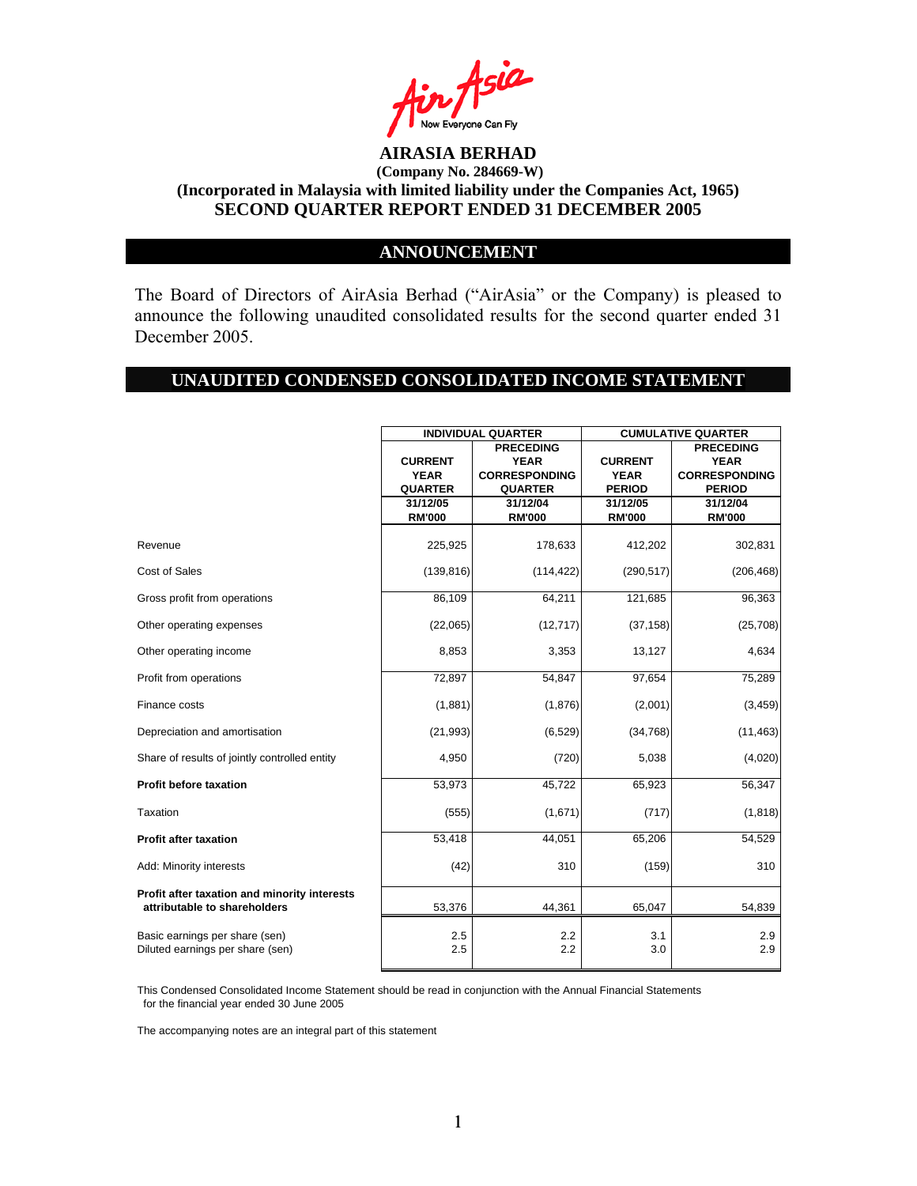

### **ANNOUNCEMENT**

The Board of Directors of AirAsia Berhad ("AirAsia" or the Company) is pleased to announce the following unaudited consolidated results for the second quarter ended 31 December 2005.

#### **UNAUDITED CONDENSED CONSOLIDATED INCOME STATEMENT**

|                                                                              | <b>INDIVIDUAL QUARTER</b> |                      | <b>CUMULATIVE QUARTER</b> |                      |
|------------------------------------------------------------------------------|---------------------------|----------------------|---------------------------|----------------------|
|                                                                              |                           | <b>PRECEDING</b>     |                           | <b>PRECEDING</b>     |
|                                                                              | <b>CURRENT</b>            | <b>YEAR</b>          | <b>CURRENT</b>            | <b>YEAR</b>          |
|                                                                              | <b>YEAR</b>               | <b>CORRESPONDING</b> | <b>YEAR</b>               | <b>CORRESPONDING</b> |
|                                                                              | <b>QUARTER</b>            | <b>QUARTER</b>       | <b>PERIOD</b>             | <b>PERIOD</b>        |
|                                                                              | 31/12/05                  | 31/12/04             | 31/12/05                  | 31/12/04             |
|                                                                              | <b>RM'000</b>             | <b>RM'000</b>        | <b>RM'000</b>             | <b>RM'000</b>        |
| Revenue                                                                      | 225,925                   | 178,633              | 412,202                   | 302,831              |
| Cost of Sales                                                                | (139, 816)                | (114, 422)           | (290, 517)                | (206, 468)           |
| Gross profit from operations                                                 | 86,109                    | 64,211               | 121,685                   | 96,363               |
| Other operating expenses                                                     | (22,065)                  | (12, 717)            | (37, 158)                 | (25, 708)            |
| Other operating income                                                       | 8,853                     | 3,353                | 13,127                    | 4,634                |
| Profit from operations                                                       | 72,897                    | 54,847               | 97,654                    | 75,289               |
| Finance costs                                                                | (1,881)                   | (1,876)              | (2,001)                   | (3, 459)             |
| Depreciation and amortisation                                                | (21, 993)                 | (6, 529)             | (34, 768)                 | (11, 463)            |
| Share of results of jointly controlled entity                                | 4,950                     | (720)                | 5,038                     | (4,020)              |
| <b>Profit before taxation</b>                                                | 53,973                    | 45,722               | 65,923                    | 56,347               |
| Taxation                                                                     | (555)                     | (1,671)              | (717)                     | (1, 818)             |
| <b>Profit after taxation</b>                                                 | 53,418                    | 44,051               | 65,206                    | 54,529               |
| Add: Minority interests                                                      | (42)                      | 310                  | (159)                     | 310                  |
| Profit after taxation and minority interests<br>attributable to shareholders | 53,376                    | 44,361               | 65,047                    | 54,839               |
| Basic earnings per share (sen)<br>Diluted earnings per share (sen)           | 2.5<br>2.5                | 2.2<br>2.2           | 3.1<br>3.0                | 2.9<br>2.9           |

This Condensed Consolidated Income Statement should be read in conjunction with the Annual Financial Statements for the financial year ended 30 June 2005

The accompanying notes are an integral part of this statement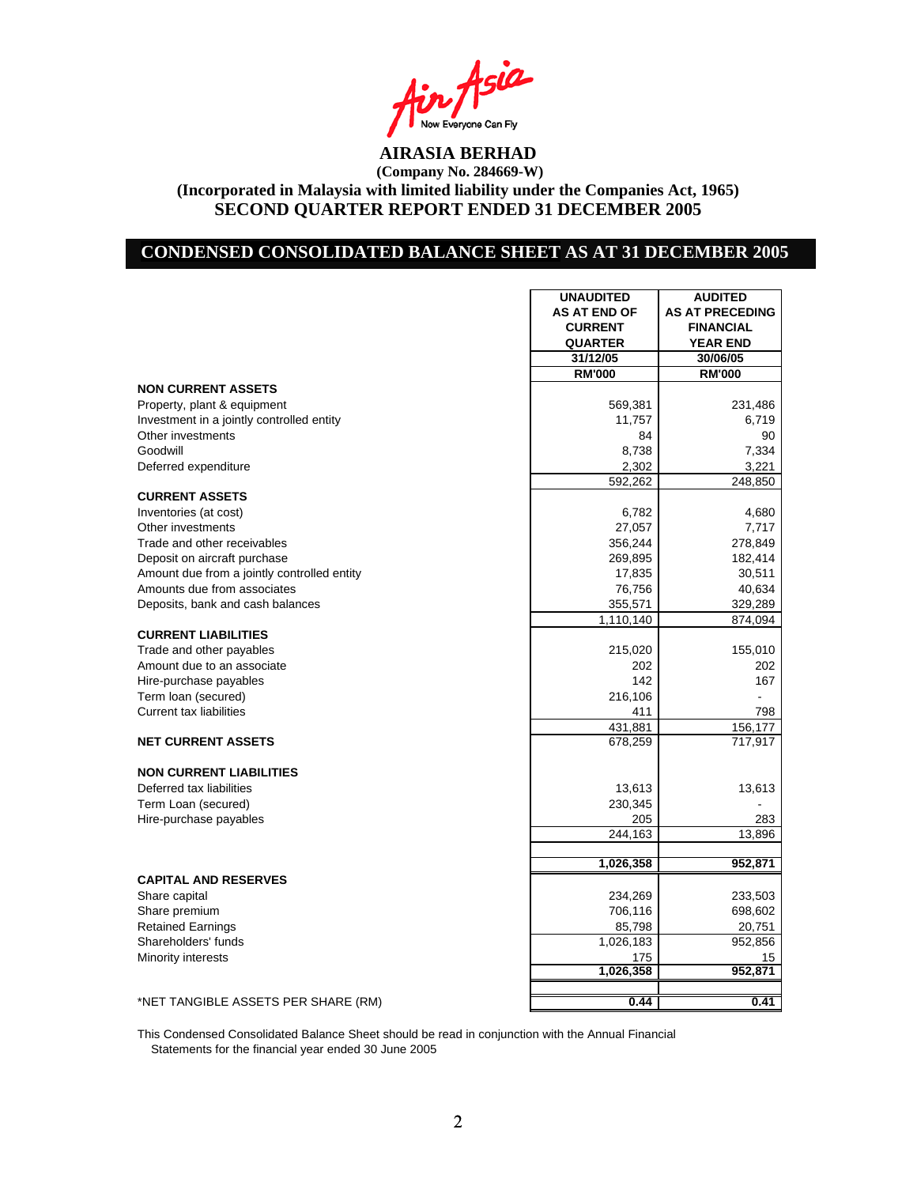Asia Now Everyone Can Fly<br>**AIRASIA BERHAD** 

### **CONDENSED CONSOLIDATED BALANCE SHEET AS AT 31 DECEMBER 2005**

|                                             | <b>UNAUDITED</b>    | <b>AUDITED</b>         |
|---------------------------------------------|---------------------|------------------------|
|                                             | <b>AS AT END OF</b> | <b>AS AT PRECEDING</b> |
|                                             | <b>CURRENT</b>      | <b>FINANCIAL</b>       |
|                                             | <b>QUARTER</b>      | <b>YEAR END</b>        |
|                                             | 31/12/05            | 30/06/05               |
|                                             | <b>RM'000</b>       | <b>RM'000</b>          |
| <b>NON CURRENT ASSETS</b>                   |                     |                        |
| Property, plant & equipment                 | 569,381             | 231,486                |
| Investment in a jointly controlled entity   | 11,757              | 6,719                  |
| Other investments                           | 84                  | 90                     |
| Goodwill                                    | 8,738               | 7,334                  |
| Deferred expenditure                        | 2,302               | 3,221                  |
|                                             | 592,262             | 248,850                |
| <b>CURRENT ASSETS</b>                       |                     |                        |
| Inventories (at cost)                       | 6,782               | 4,680                  |
| Other investments                           | 27,057              | 7,717                  |
| Trade and other receivables                 | 356,244             | 278,849                |
| Deposit on aircraft purchase                | 269,895             | 182,414                |
| Amount due from a jointly controlled entity | 17,835              | 30,511                 |
| Amounts due from associates                 | 76,756              | 40,634                 |
| Deposits, bank and cash balances            | 355,571             | 329,289                |
|                                             | 1,110,140           | 874,094                |
| <b>CURRENT LIABILITIES</b>                  |                     |                        |
| Trade and other payables                    | 215,020             | 155,010                |
| Amount due to an associate                  | 202                 | 202                    |
| Hire-purchase payables                      | 142                 | 167                    |
| Term loan (secured)                         | 216,106             | $\blacksquare$         |
| <b>Current tax liabilities</b>              | 411                 | 798                    |
|                                             | 431,881             | 156,177                |
| <b>NET CURRENT ASSETS</b>                   | 678,259             | 717,917                |
|                                             |                     |                        |
| <b>NON CURRENT LIABILITIES</b>              |                     |                        |
| Deferred tax liabilities                    | 13,613              | 13,613                 |
| Term Loan (secured)                         | 230,345             |                        |
| Hire-purchase payables                      | 205                 | 283                    |
|                                             | 244,163             | 13,896                 |
|                                             |                     |                        |
|                                             | 1,026,358           | 952,871                |
| <b>CAPITAL AND RESERVES</b>                 |                     |                        |
| Share capital                               | 234,269             | 233,503                |
| Share premium                               | 706,116             | 698,602                |
| <b>Retained Earnings</b>                    | 85,798              | 20,751                 |
| Shareholders' funds                         | 1,026,183           | 952,856                |
| Minority interests                          | 175                 | 15                     |
|                                             | 1,026,358           | 952,871                |
|                                             |                     |                        |
| *NET TANGIBLE ASSETS PER SHARE (RM)         | 0.44                | 0.41                   |

This Condensed Consolidated Balance Sheet should be read in conjunction with the Annual Financial Statements for the financial year ended 30 June 2005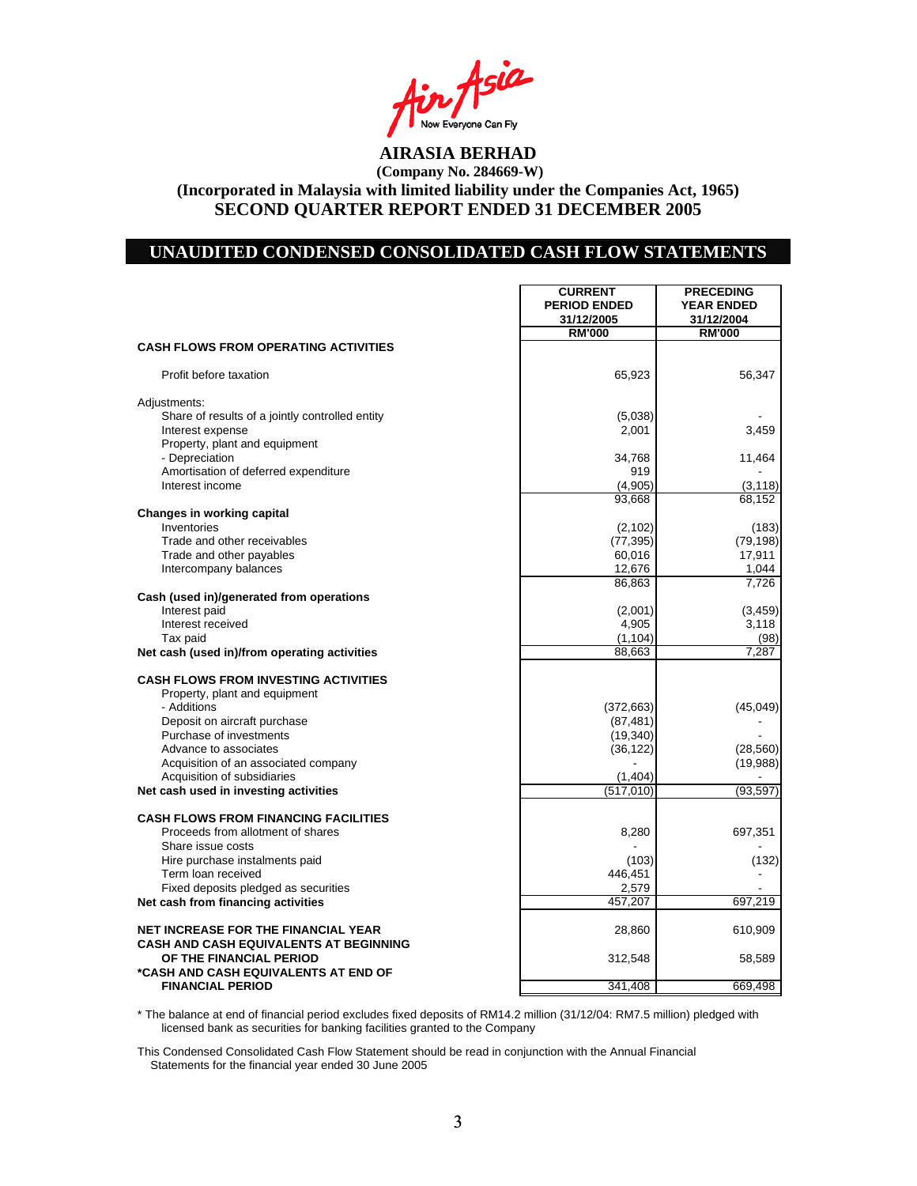Asia Now Everyone Can Fly<br>**AIRASIA BERHAD** 

### **UNAUDITED CONDENSED CONSOLIDATED CASH FLOW STATEMENTS**

|                                                        | <b>CURRENT</b><br><b>PERIOD ENDED</b><br>31/12/2005 | <b>PRECEDING</b><br><b>YEAR ENDED</b><br>31/12/2004 |
|--------------------------------------------------------|-----------------------------------------------------|-----------------------------------------------------|
| <b>CASH FLOWS FROM OPERATING ACTIVITIES</b>            | <b>RM'000</b>                                       | <b>RM'000</b>                                       |
|                                                        |                                                     |                                                     |
| Profit before taxation                                 | 65,923                                              | 56,347                                              |
| Adjustments:                                           |                                                     |                                                     |
| Share of results of a jointly controlled entity        | (5,038)                                             |                                                     |
| Interest expense                                       | 2,001                                               | 3,459                                               |
| Property, plant and equipment                          |                                                     |                                                     |
| - Depreciation<br>Amortisation of deferred expenditure | 34,768<br>919                                       | 11,464                                              |
| Interest income                                        | (4,905)                                             | (3, 118)                                            |
|                                                        | 93.668                                              | 68,152                                              |
| Changes in working capital                             |                                                     |                                                     |
| Inventories                                            | (2, 102)                                            | (183)                                               |
| Trade and other receivables                            | (77, 395)                                           | (79, 198)                                           |
| Trade and other payables                               | 60,016                                              | 17,911                                              |
| Intercompany balances                                  | 12,676                                              | 1,044                                               |
|                                                        | 86,863                                              | 7,726                                               |
| Cash (used in)/generated from operations               |                                                     |                                                     |
| Interest paid<br>Interest received                     | (2,001)<br>4,905                                    | (3, 459)<br>3,118                                   |
| Tax paid                                               | (1, 104)                                            | (98)                                                |
| Net cash (used in)/from operating activities           | 88,663                                              | 7,287                                               |
|                                                        |                                                     |                                                     |
| <b>CASH FLOWS FROM INVESTING ACTIVITIES</b>            |                                                     |                                                     |
| Property, plant and equipment                          |                                                     |                                                     |
| - Additions                                            | (372, 663)                                          | (45, 049)                                           |
| Deposit on aircraft purchase                           | (87, 481)                                           |                                                     |
| Purchase of investments<br>Advance to associates       | (19, 340)<br>(36, 122)                              | (28, 560)                                           |
| Acquisition of an associated company                   |                                                     | (19,988)                                            |
| Acquisition of subsidiaries                            | (1,404)                                             |                                                     |
| Net cash used in investing activities                  | (517.010)                                           | (93, 597)                                           |
|                                                        |                                                     |                                                     |
| <b>CASH FLOWS FROM FINANCING FACILITIES</b>            |                                                     |                                                     |
| Proceeds from allotment of shares                      | 8,280                                               | 697,351                                             |
| Share issue costs                                      |                                                     |                                                     |
| Hire purchase instalments paid<br>Term loan received   | (103)<br>446,451                                    | (132)                                               |
| Fixed deposits pledged as securities                   | 2,579                                               |                                                     |
| Net cash from financing activities                     | 457,207                                             | 697,219                                             |
|                                                        |                                                     |                                                     |
| <b>NET INCREASE FOR THE FINANCIAL YEAR</b>             | 28,860                                              | 610,909                                             |
| <b>CASH AND CASH EQUIVALENTS AT BEGINNING</b>          |                                                     |                                                     |
| OF THE FINANCIAL PERIOD                                | 312,548                                             | 58,589                                              |
| *CASH AND CASH EQUIVALENTS AT END OF                   |                                                     |                                                     |
| <b>FINANCIAL PERIOD</b>                                | 341,408                                             | 669,498                                             |

\* The balance at end of financial period excludes fixed deposits of RM14.2 million (31/12/04: RM7.5 million) pledged with licensed bank as securities for banking facilities granted to the Company

This Condensed Consolidated Cash Flow Statement should be read in conjunction with the Annual Financial Statements for the financial year ended 30 June 2005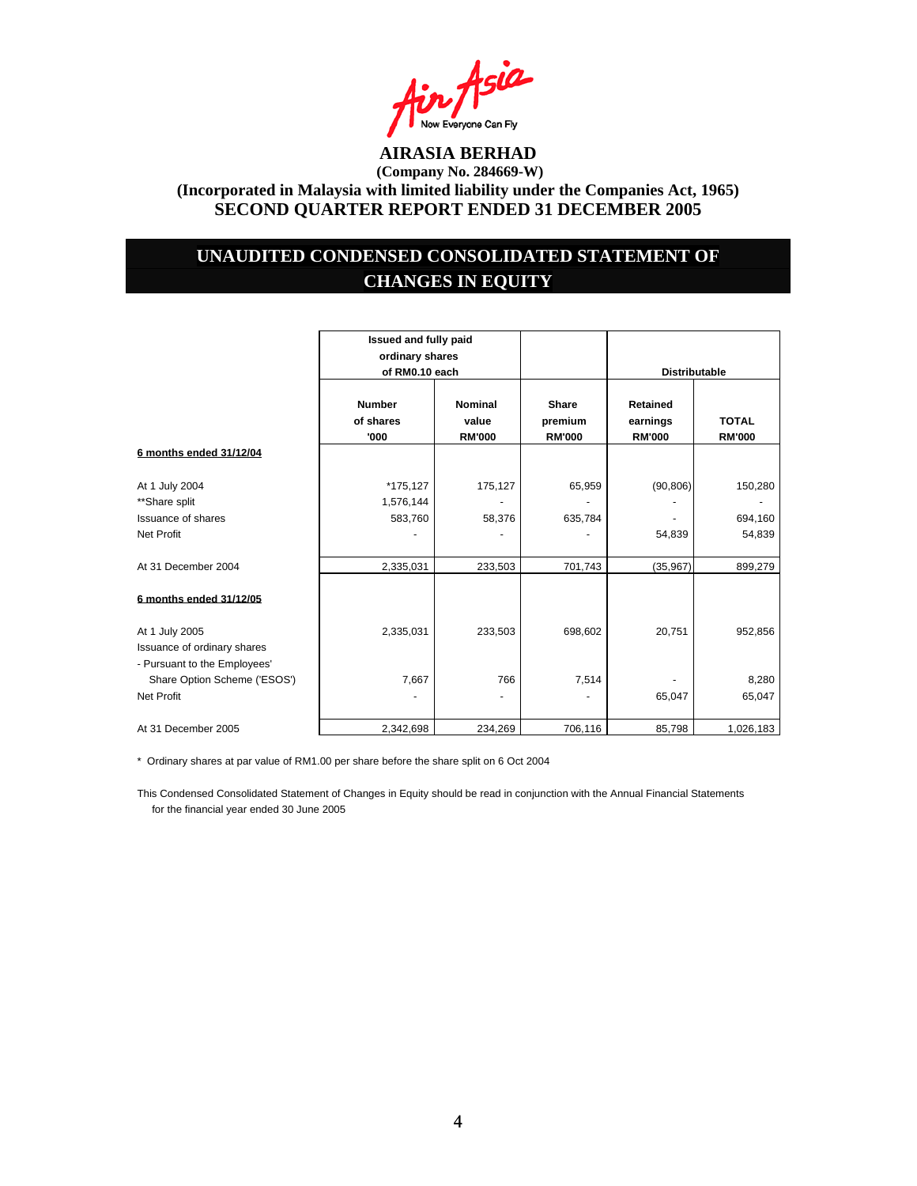

### **UNAUDITED CONDENSED CONSOLIDATED STATEMENT OF CHANGES IN EQUITY**

|                              | Issued and fully paid<br>ordinary shares |                  |                  |                      |                      |
|------------------------------|------------------------------------------|------------------|------------------|----------------------|----------------------|
|                              | of RM0.10 each                           |                  |                  |                      | <b>Distributable</b> |
|                              | <b>Number</b><br>of shares               | Nominal<br>value | Share<br>premium | Retained<br>earnings | <b>TOTAL</b>         |
|                              | '000                                     | <b>RM'000</b>    | <b>RM'000</b>    | <b>RM'000</b>        | <b>RM'000</b>        |
| 6 months ended 31/12/04      |                                          |                  |                  |                      |                      |
| At 1 July 2004               | *175,127                                 | 175,127          | 65,959           | (90, 806)            | 150,280              |
| **Share split                | 1,576,144                                |                  |                  |                      |                      |
| Issuance of shares           | 583,760                                  | 58,376           | 635,784          |                      | 694,160              |
| <b>Net Profit</b>            |                                          |                  |                  | 54,839               | 54,839               |
| At 31 December 2004          | 2,335,031                                | 233,503          | 701,743          | (35,967)             | 899,279              |
| 6 months ended 31/12/05      |                                          |                  |                  |                      |                      |
| At 1 July 2005               | 2,335,031                                | 233,503          | 698,602          | 20,751               | 952,856              |
| Issuance of ordinary shares  |                                          |                  |                  |                      |                      |
| - Pursuant to the Employees' |                                          |                  |                  |                      |                      |
| Share Option Scheme ('ESOS') | 7,667                                    | 766              | 7,514            |                      | 8,280                |
| <b>Net Profit</b>            |                                          |                  |                  | 65,047               | 65,047               |
| At 31 December 2005          | 2,342,698                                | 234,269          | 706,116          | 85.798               | 1,026,183            |

\* Ordinary shares at par value of RM1.00 per share before the share split on 6 Oct 2004

This Condensed Consolidated Statement of Changes in Equity should be read in conjunction with the Annual Financial Statements for the financial year ended 30 June 2005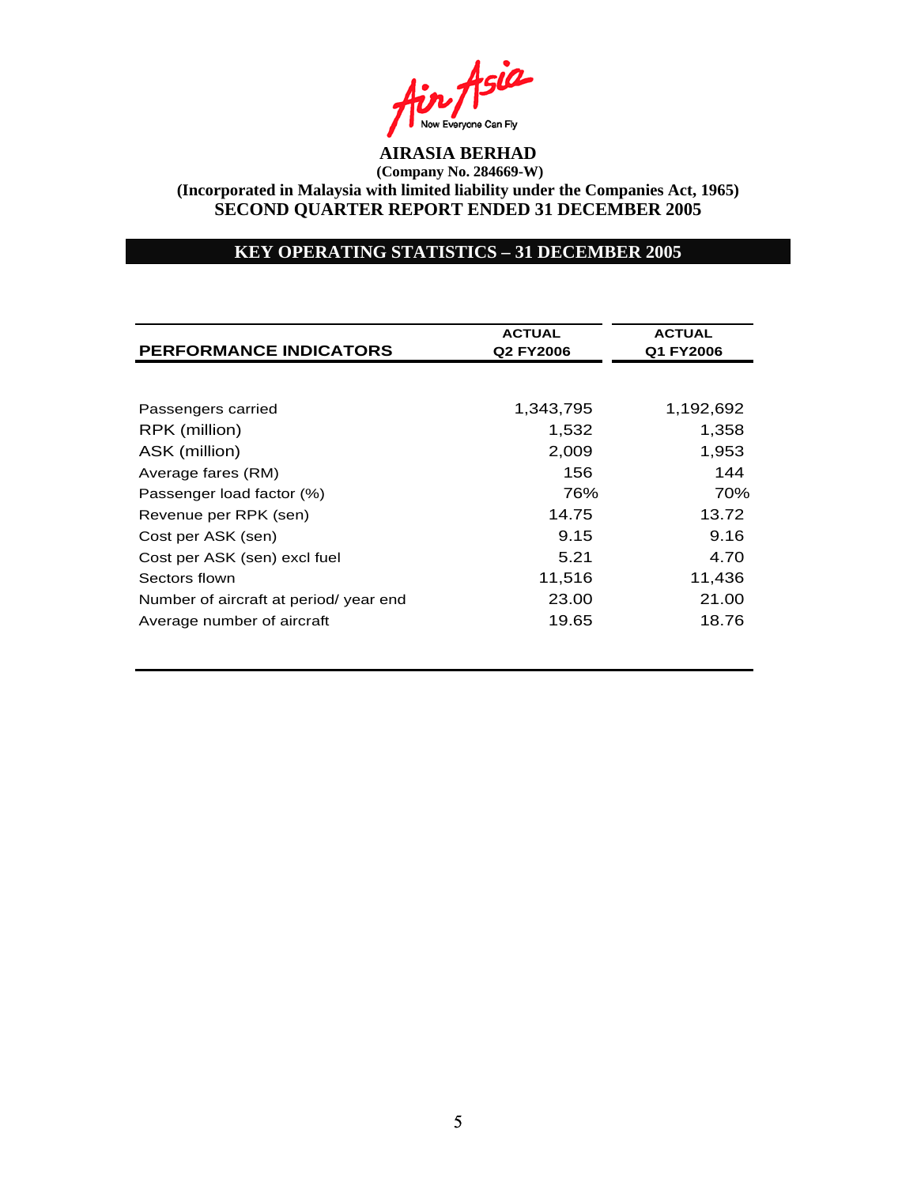

### **KEY OPERATING STATISTICS – 31 DECEMBER 2005**

| <b>PERFORMANCE INDICATORS</b>          | <b>ACTUAL</b><br>Q2 FY2006 | <b>ACTUAL</b><br>Q1 FY2006 |  |
|----------------------------------------|----------------------------|----------------------------|--|
|                                        |                            |                            |  |
| Passengers carried                     | 1,343,795                  | 1,192,692                  |  |
| RPK (million)                          | 1,532                      | 1,358                      |  |
| ASK (million)                          | 2,009                      | 1,953                      |  |
| Average fares (RM)                     | 156                        | 144                        |  |
| Passenger load factor (%)              | 76%                        | 70%                        |  |
| Revenue per RPK (sen)                  | 14.75                      | 13.72                      |  |
| Cost per ASK (sen)                     | 9.15                       | 9.16                       |  |
| Cost per ASK (sen) excl fuel           | 5.21                       | 4.70                       |  |
| Sectors flown                          | 11,516                     | 11,436                     |  |
| Number of aircraft at period/ year end | 23.00                      | 21.00                      |  |
| Average number of aircraft             | 19.65                      | 18.76                      |  |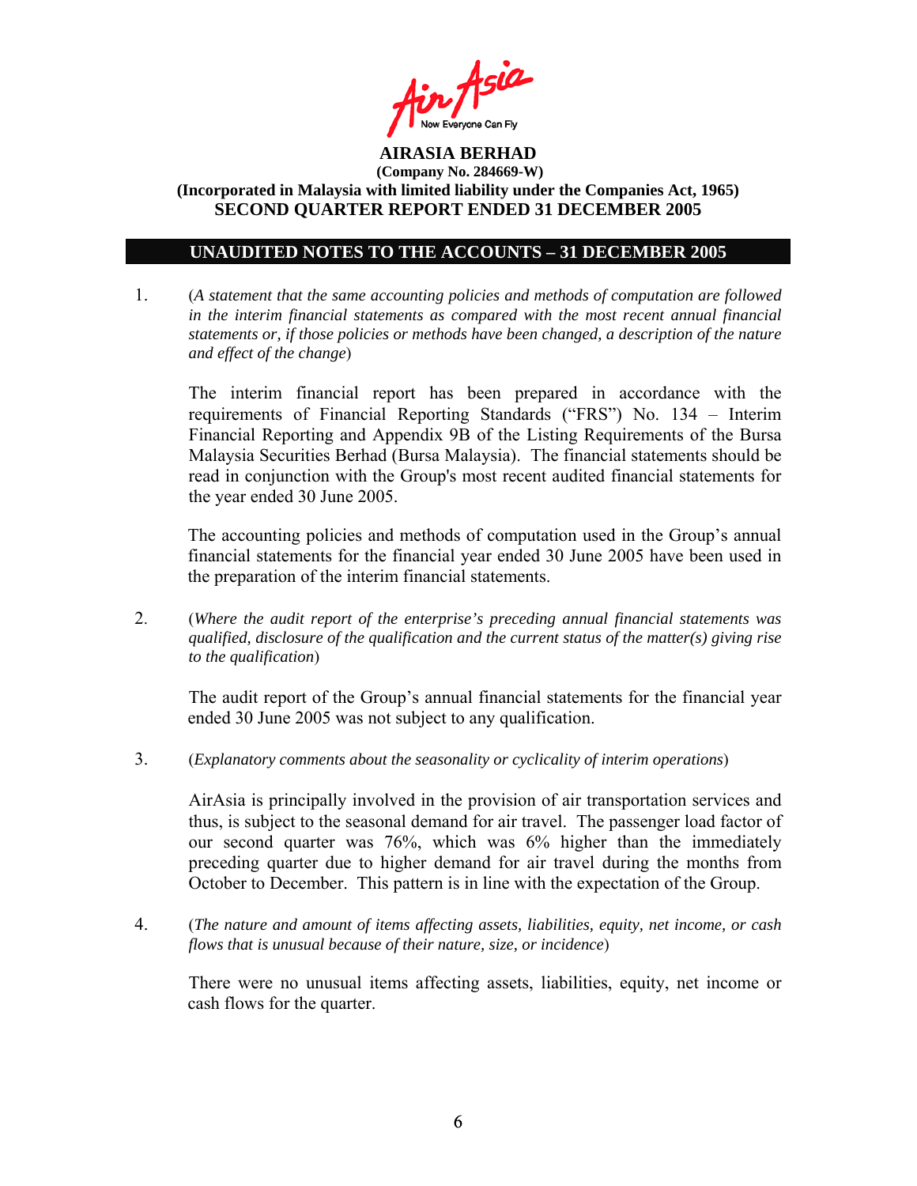

### **UNAUDITED NOTES TO THE ACCOUNTS – 31 DECEMBER 2005**

1. (*A statement that the same accounting policies and methods of computation are followed in the interim financial statements as compared with the most recent annual financial statements or, if those policies or methods have been changed, a description of the nature and effect of the change*)

The interim financial report has been prepared in accordance with the requirements of Financial Reporting Standards ("FRS") No. 134 – Interim Financial Reporting and Appendix 9B of the Listing Requirements of the Bursa Malaysia Securities Berhad (Bursa Malaysia). The financial statements should be read in conjunction with the Group's most recent audited financial statements for the year ended 30 June 2005.

The accounting policies and methods of computation used in the Group's annual financial statements for the financial year ended 30 June 2005 have been used in the preparation of the interim financial statements.

2. (*Where the audit report of the enterprise's preceding annual financial statements was qualified, disclosure of the qualification and the current status of the matter(s) giving rise to the qualification*)

The audit report of the Group's annual financial statements for the financial year ended 30 June 2005 was not subject to any qualification.

3. (*Explanatory comments about the seasonality or cyclicality of interim operations*)

AirAsia is principally involved in the provision of air transportation services and thus, is subject to the seasonal demand for air travel. The passenger load factor of our second quarter was 76%, which was 6% higher than the immediately preceding quarter due to higher demand for air travel during the months from October to December. This pattern is in line with the expectation of the Group.

4. (*The nature and amount of items affecting assets, liabilities, equity, net income, or cash flows that is unusual because of their nature, size, or incidence*)

 There were no unusual items affecting assets, liabilities, equity, net income or cash flows for the quarter.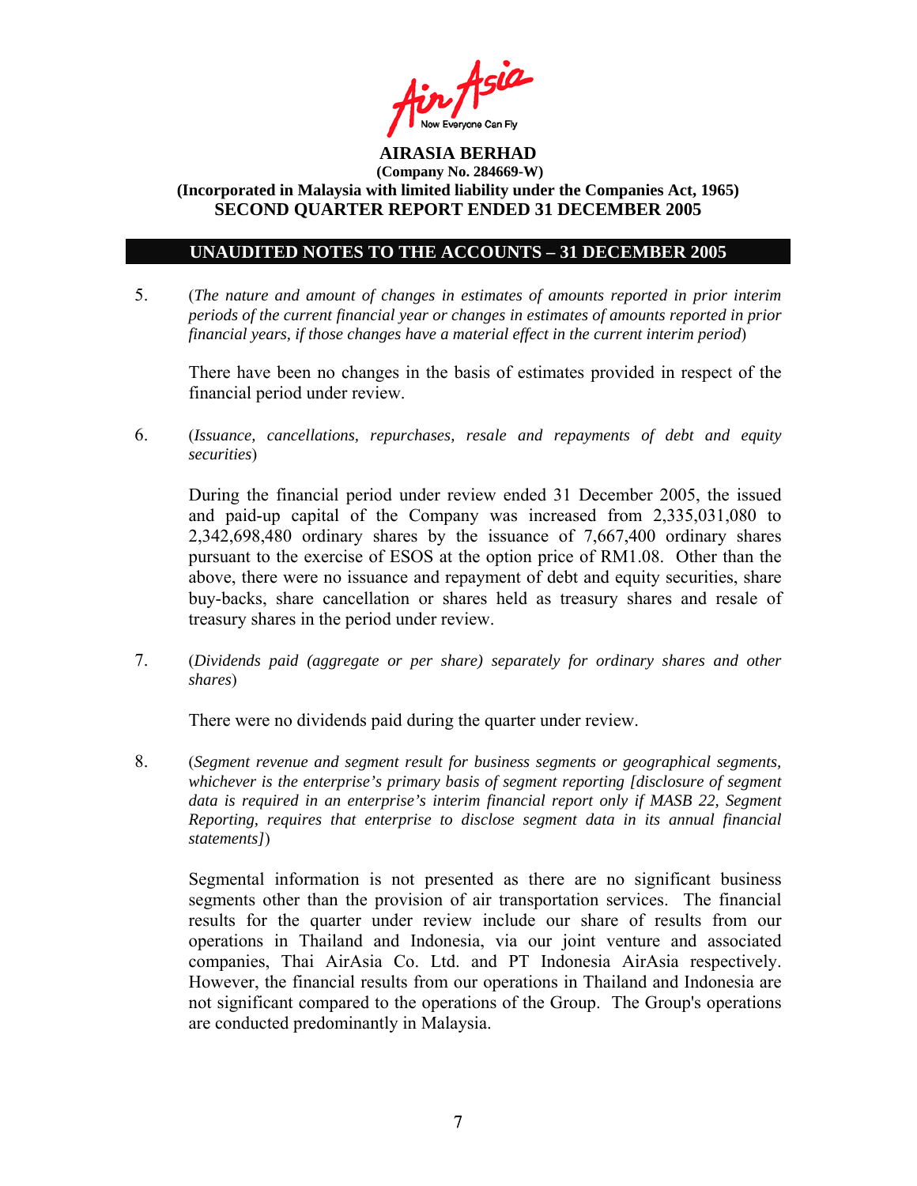

### **UNAUDITED NOTES TO THE ACCOUNTS – 31 DECEMBER 2005**

5. (*The nature and amount of changes in estimates of amounts reported in prior interim periods of the current financial year or changes in estimates of amounts reported in prior financial years, if those changes have a material effect in the current interim period*)

There have been no changes in the basis of estimates provided in respect of the financial period under review.

6. (*Issuance, cancellations, repurchases, resale and repayments of debt and equity securities*)

During the financial period under review ended 31 December 2005, the issued and paid-up capital of the Company was increased from 2,335,031,080 to 2,342,698,480 ordinary shares by the issuance of 7,667,400 ordinary shares pursuant to the exercise of ESOS at the option price of RM1.08. Other than the above, there were no issuance and repayment of debt and equity securities, share buy-backs, share cancellation or shares held as treasury shares and resale of treasury shares in the period under review.

7. (*Dividends paid (aggregate or per share) separately for ordinary shares and other shares*)

There were no dividends paid during the quarter under review.

8. (*Segment revenue and segment result for business segments or geographical segments, whichever is the enterprise's primary basis of segment reporting [disclosure of segment data is required in an enterprise's interim financial report only if MASB 22, Segment Reporting, requires that enterprise to disclose segment data in its annual financial statements]*)

Segmental information is not presented as there are no significant business segments other than the provision of air transportation services. The financial results for the quarter under review include our share of results from our operations in Thailand and Indonesia, via our joint venture and associated companies, Thai AirAsia Co. Ltd. and PT Indonesia AirAsia respectively. However, the financial results from our operations in Thailand and Indonesia are not significant compared to the operations of the Group. The Group's operations are conducted predominantly in Malaysia.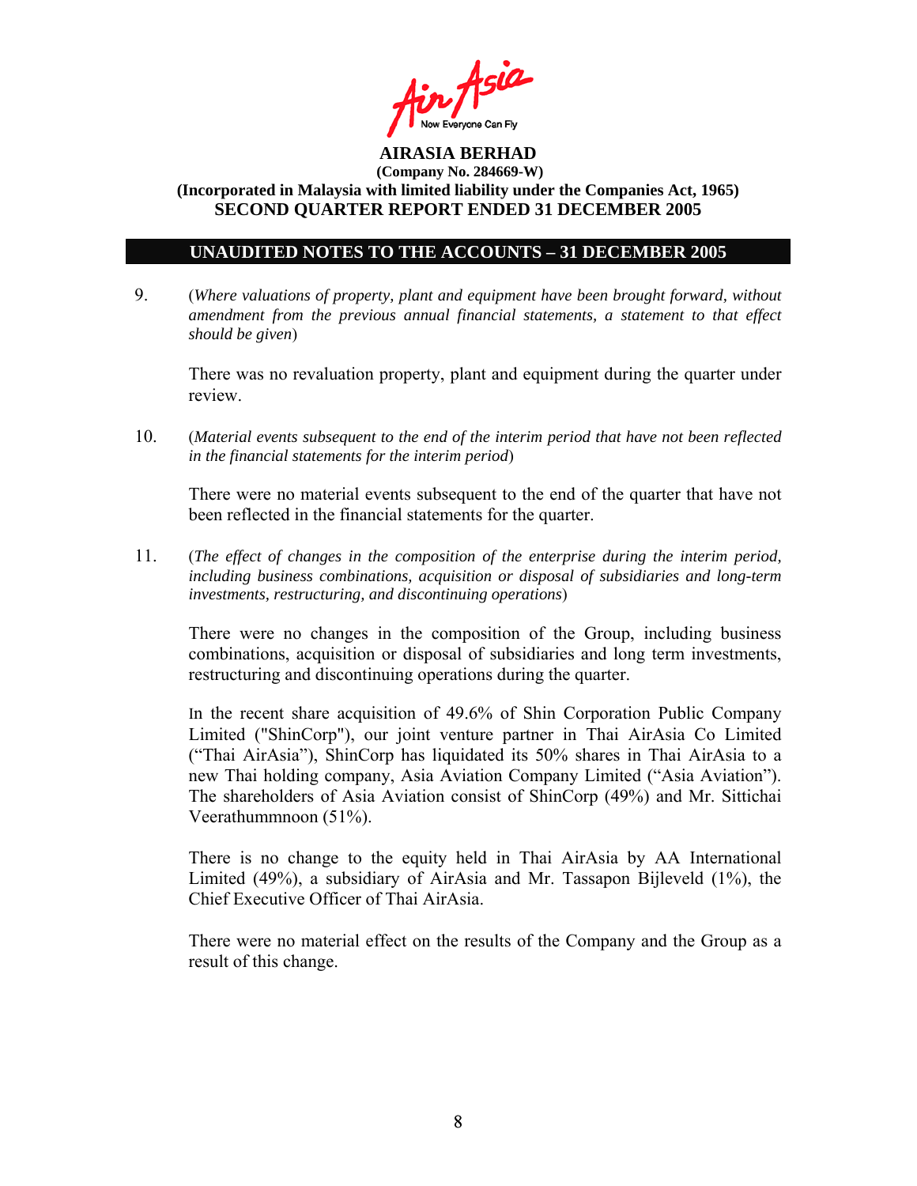

### **UNAUDITED NOTES TO THE ACCOUNTS – 31 DECEMBER 2005**

9. (*Where valuations of property, plant and equipment have been brought forward, without amendment from the previous annual financial statements, a statement to that effect should be given*)

 There was no revaluation property, plant and equipment during the quarter under review.

10. (*Material events subsequent to the end of the interim period that have not been reflected in the financial statements for the interim period*)

There were no material events subsequent to the end of the quarter that have not been reflected in the financial statements for the quarter.

11. (*The effect of changes in the composition of the enterprise during the interim period, including business combinations, acquisition or disposal of subsidiaries and long-term investments, restructuring, and discontinuing operations*)

There were no changes in the composition of the Group, including business combinations, acquisition or disposal of subsidiaries and long term investments, restructuring and discontinuing operations during the quarter.

 In the recent share acquisition of 49.6% of Shin Corporation Public Company Limited ("ShinCorp"), our joint venture partner in Thai AirAsia Co Limited ("Thai AirAsia"), ShinCorp has liquidated its 50% shares in Thai AirAsia to a new Thai holding company, Asia Aviation Company Limited ("Asia Aviation"). The shareholders of Asia Aviation consist of ShinCorp (49%) and Mr. Sittichai Veerathummnoon (51%).

There is no change to the equity held in Thai AirAsia by AA International Limited (49%), a subsidiary of AirAsia and Mr. Tassapon Bijleveld (1%), the Chief Executive Officer of Thai AirAsia.

There were no material effect on the results of the Company and the Group as a result of this change.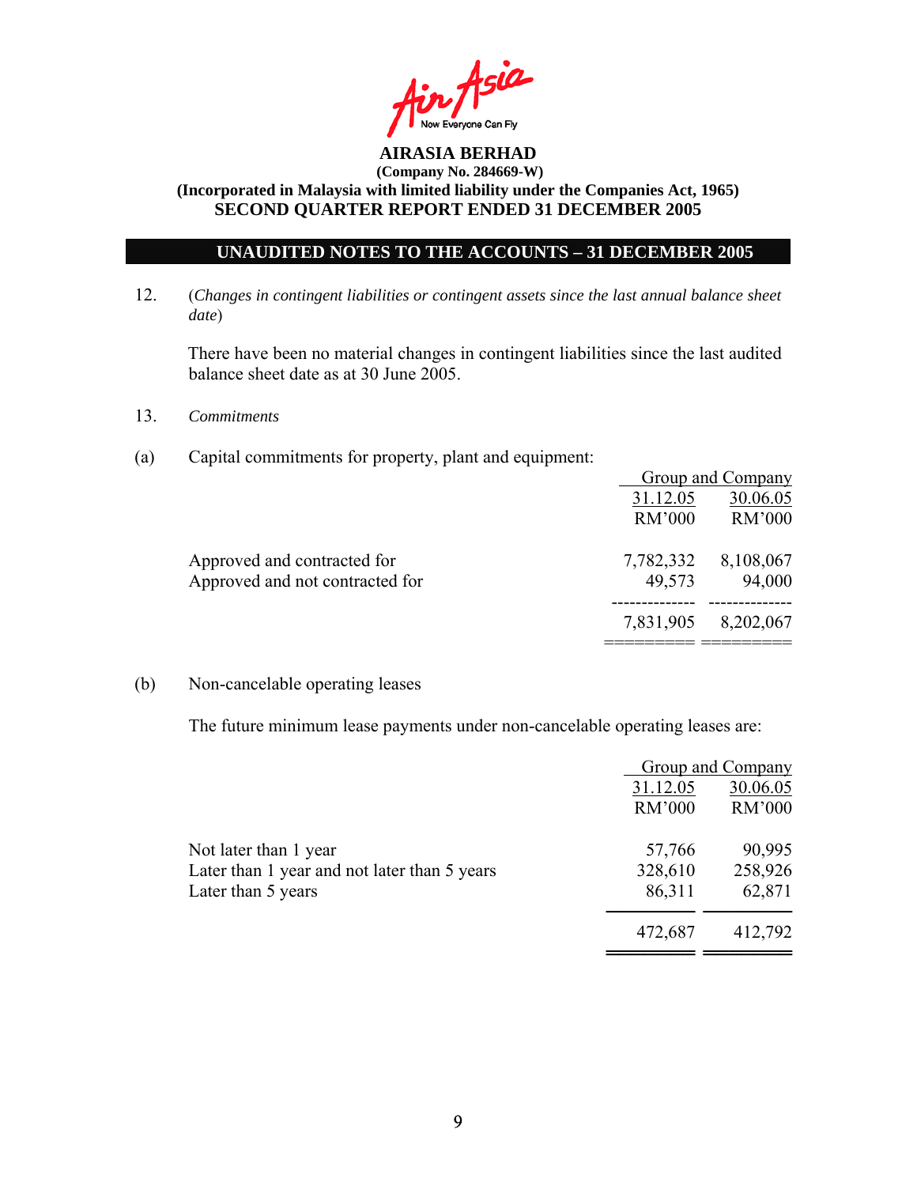

### **UNAUDITED NOTES TO THE ACCOUNTS – 31 DECEMBER 2005**

12. (*Changes in contingent liabilities or contingent assets since the last annual balance sheet date*)

There have been no material changes in contingent liabilities since the last audited balance sheet date as at 30 June 2005.

- 13. *Commitments*
- (a) Capital commitments for property, plant and equipment:

|                                 |           | Group and Company |
|---------------------------------|-----------|-------------------|
|                                 | 31.12.05  | 30.06.05          |
|                                 | RM'000    | RM'000            |
| Approved and contracted for     | 7,782,332 | 8,108,067         |
| Approved and not contracted for | 49,573    | 94,000            |
|                                 | 7,831,905 | 8,202,067         |
|                                 |           |                   |

#### (b) Non-cancelable operating leases

The future minimum lease payments under non-cancelable operating leases are:

|                                              |               | Group and Company |
|----------------------------------------------|---------------|-------------------|
|                                              | 31.12.05      | 30.06.05          |
|                                              | <b>RM'000</b> | <b>RM'000</b>     |
| Not later than 1 year                        | 57,766        | 90,995            |
| Later than 1 year and not later than 5 years | 328,610       | 258,926           |
| Later than 5 years                           | 86,311        | 62,871            |
|                                              | 472,687       | 412,792           |
|                                              |               |                   |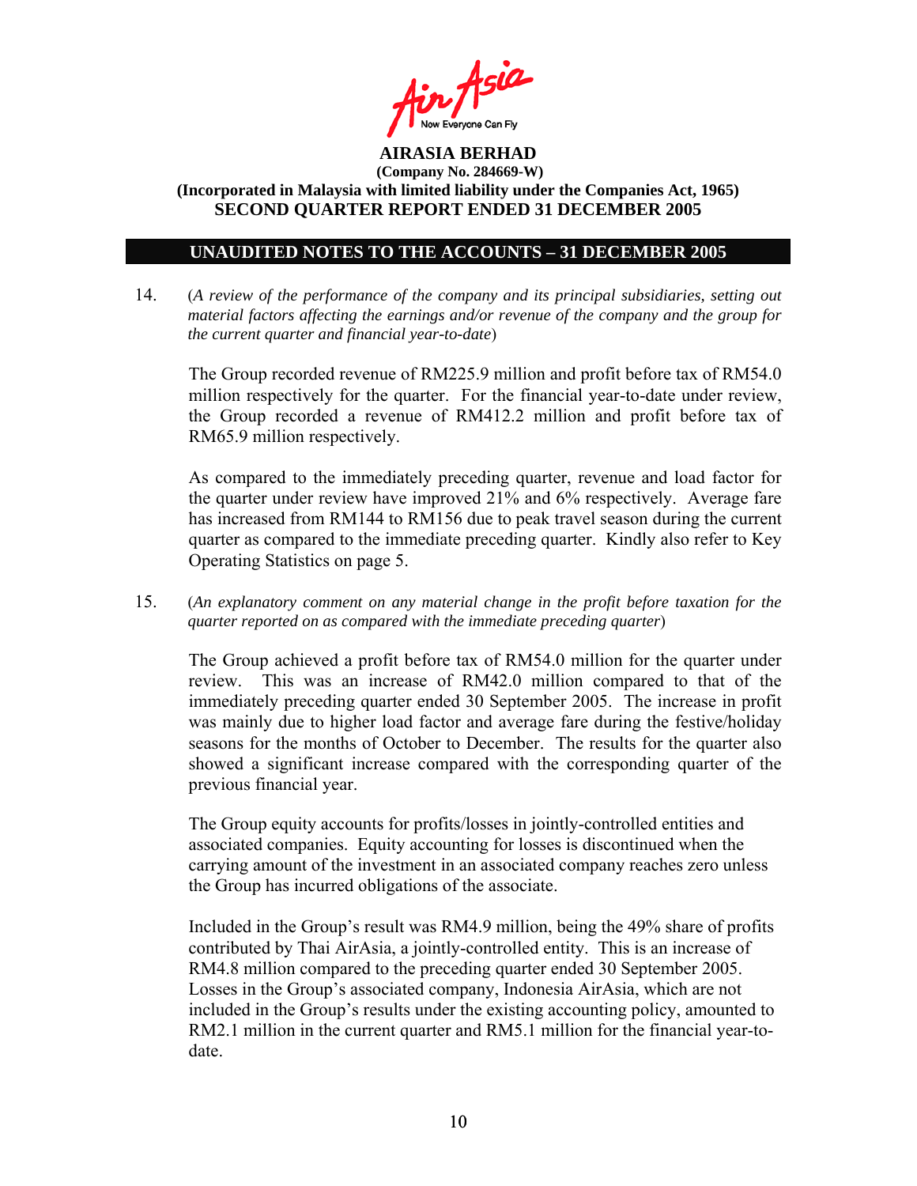

### **UNAUDITED NOTES TO THE ACCOUNTS – 31 DECEMBER 2005**

14. (*A review of the performance of the company and its principal subsidiaries, setting out material factors affecting the earnings and/or revenue of the company and the group for the current quarter and financial year-to-date*)

The Group recorded revenue of RM225.9 million and profit before tax of RM54.0 million respectively for the quarter. For the financial year-to-date under review, the Group recorded a revenue of RM412.2 million and profit before tax of RM65.9 million respectively.

As compared to the immediately preceding quarter, revenue and load factor for the quarter under review have improved 21% and 6% respectively. Average fare has increased from RM144 to RM156 due to peak travel season during the current quarter as compared to the immediate preceding quarter. Kindly also refer to Key Operating Statistics on page 5.

15. (*An explanatory comment on any material change in the profit before taxation for the quarter reported on as compared with the immediate preceding quarter*)

The Group achieved a profit before tax of RM54.0 million for the quarter under review. This was an increase of RM42.0 million compared to that of the immediately preceding quarter ended 30 September 2005. The increase in profit was mainly due to higher load factor and average fare during the festive/holiday seasons for the months of October to December. The results for the quarter also showed a significant increase compared with the corresponding quarter of the previous financial year.

The Group equity accounts for profits/losses in jointly-controlled entities and associated companies. Equity accounting for losses is discontinued when the carrying amount of the investment in an associated company reaches zero unless the Group has incurred obligations of the associate.

 Included in the Group's result was RM4.9 million, being the 49% share of profits contributed by Thai AirAsia, a jointly-controlled entity. This is an increase of RM4.8 million compared to the preceding quarter ended 30 September 2005. Losses in the Group's associated company, Indonesia AirAsia, which are not included in the Group's results under the existing accounting policy, amounted to RM2.1 million in the current quarter and RM5.1 million for the financial year-todate.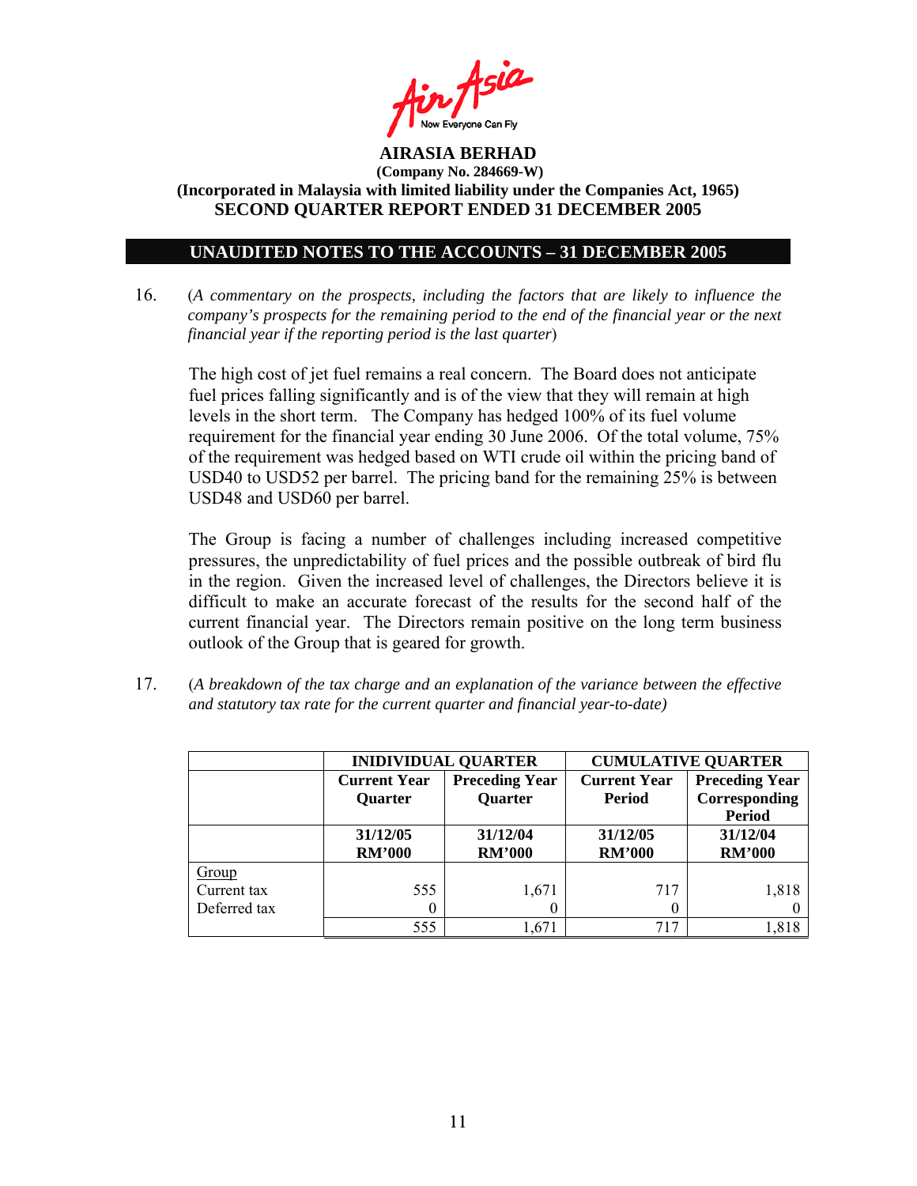

### **UNAUDITED NOTES TO THE ACCOUNTS – 31 DECEMBER 2005**

16. (*A commentary on the prospects, including the factors that are likely to influence the company's prospects for the remaining period to the end of the financial year or the next financial year if the reporting period is the last quarter*)

The high cost of jet fuel remains a real concern. The Board does not anticipate fuel prices falling significantly and is of the view that they will remain at high levels in the short term. The Company has hedged 100% of its fuel volume requirement for the financial year ending 30 June 2006. Of the total volume, 75% of the requirement was hedged based on WTI crude oil within the pricing band of USD40 to USD52 per barrel. The pricing band for the remaining 25% is between USD48 and USD60 per barrel.

The Group is facing a number of challenges including increased competitive pressures, the unpredictability of fuel prices and the possible outbreak of bird flu in the region. Given the increased level of challenges, the Directors believe it is difficult to make an accurate forecast of the results for the second half of the current financial year. The Directors remain positive on the long term business outlook of the Group that is geared for growth.

17. (*A breakdown of the tax charge and an explanation of the variance between the effective and statutory tax rate for the current quarter and financial year-to-date)*

|              |                     | <b>INIDIVIDUAL QUARTER</b>              | <b>CUMULATIVE QUARTER</b>            |                         |  |
|--------------|---------------------|-----------------------------------------|--------------------------------------|-------------------------|--|
|              | <b>Current Year</b> | <b>Preceding Year</b><br><b>Quarter</b> | <b>Current Year</b><br><b>Period</b> | <b>Preceding Year</b>   |  |
|              | <b>Quarter</b>      |                                         |                                      | Corresponding<br>Period |  |
|              | 31/12/05            | 31/12/04                                | 31/12/05                             | 31/12/04                |  |
|              | <b>RM'000</b>       | <b>RM'000</b>                           | <b>RM'000</b>                        | <b>RM'000</b>           |  |
| Group        |                     |                                         |                                      |                         |  |
| Current tax  | 555                 | 1,671                                   | 717                                  | 1,818                   |  |
| Deferred tax |                     | 0                                       | 0                                    |                         |  |
|              | 555                 | 1,671                                   | 717                                  | 1,818                   |  |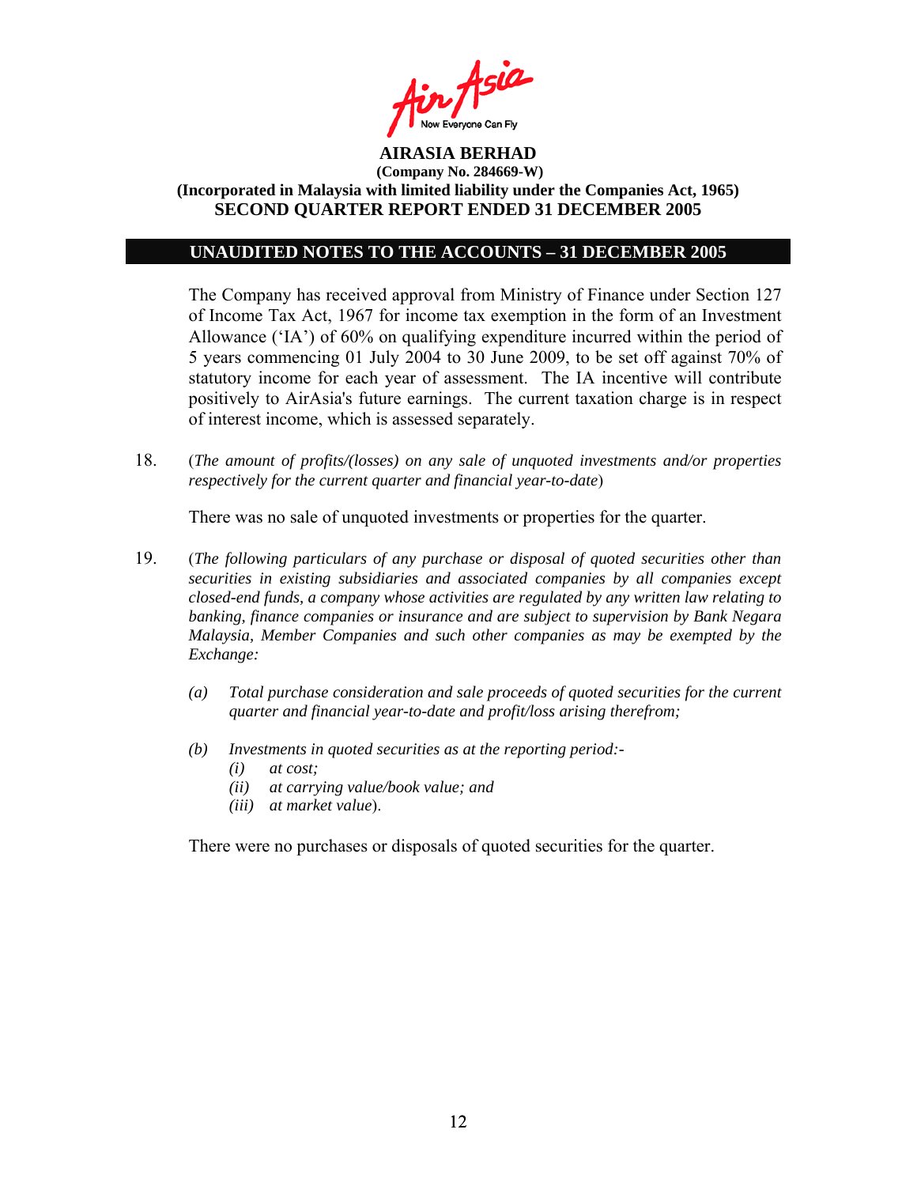

#### **UNAUDITED NOTES TO THE ACCOUNTS – 31 DECEMBER 2005**

The Company has received approval from Ministry of Finance under Section 127 of Income Tax Act, 1967 for income tax exemption in the form of an Investment Allowance ('IA') of 60% on qualifying expenditure incurred within the period of 5 years commencing 01 July 2004 to 30 June 2009, to be set off against 70% of statutory income for each year of assessment. The IA incentive will contribute positively to AirAsia's future earnings. The current taxation charge is in respect of interest income, which is assessed separately.

18. (*The amount of profits/(losses) on any sale of unquoted investments and/or properties respectively for the current quarter and financial year-to-date*)

There was no sale of unquoted investments or properties for the quarter.

- 19. (*The following particulars of any purchase or disposal of quoted securities other than securities in existing subsidiaries and associated companies by all companies except closed-end funds, a company whose activities are regulated by any written law relating to banking, finance companies or insurance and are subject to supervision by Bank Negara Malaysia, Member Companies and such other companies as may be exempted by the Exchange:* 
	- *(a) Total purchase consideration and sale proceeds of quoted securities for the current quarter and financial year-to-date and profit/loss arising therefrom;*
	- *(b) Investments in quoted securities as at the reporting period:-* 
		- *(i) at cost;*
		- *(ii) at carrying value/book value; and*
		- *(iii) at market value*).

There were no purchases or disposals of quoted securities for the quarter.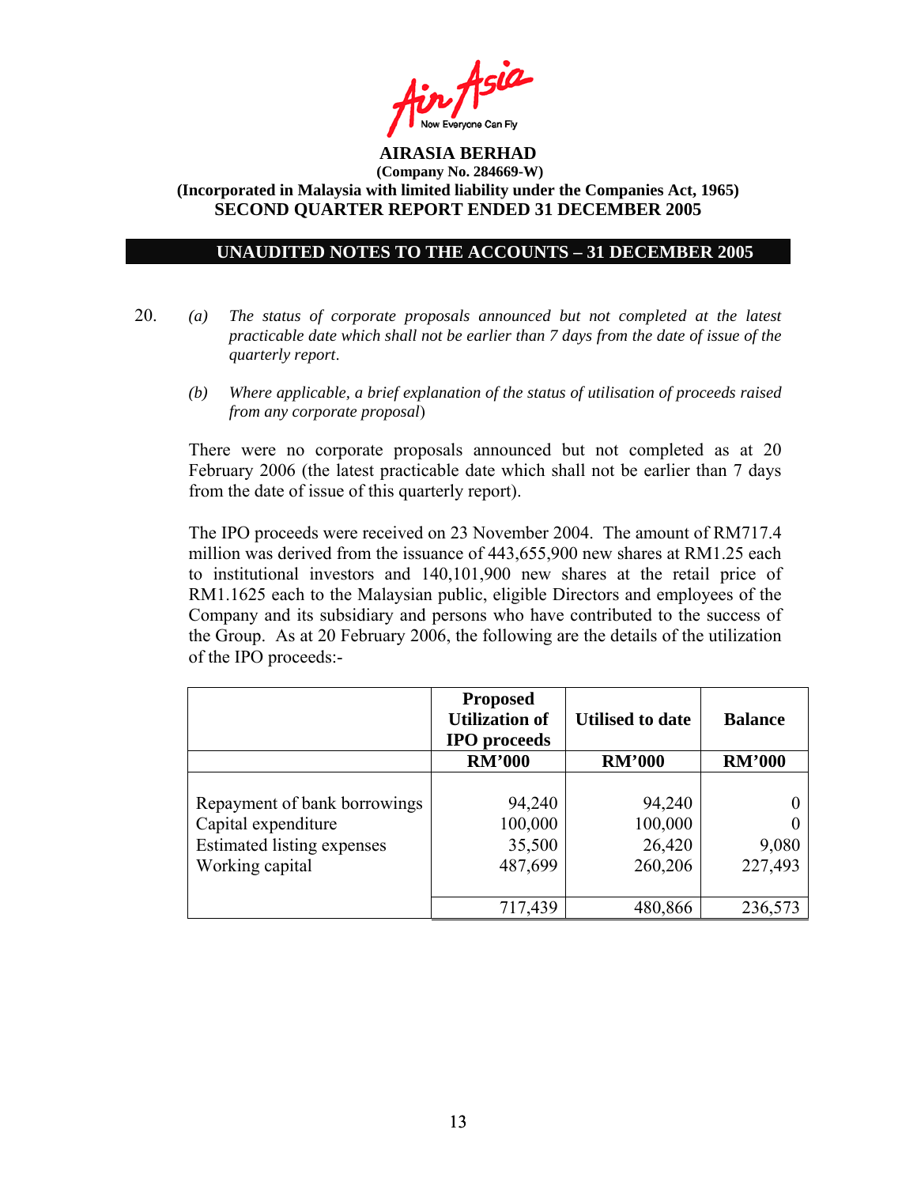

### **UNAUDITED NOTES TO THE ACCOUNTS – 31 DECEMBER 2005**

- 20. *(a) The status of corporate proposals announced but not completed at the latest practicable date which shall not be earlier than 7 days from the date of issue of the quarterly report*.
	- *(b) Where applicable, a brief explanation of the status of utilisation of proceeds raised from any corporate proposal*)

There were no corporate proposals announced but not completed as at 20 February 2006 (the latest practicable date which shall not be earlier than 7 days from the date of issue of this quarterly report).

 The IPO proceeds were received on 23 November 2004. The amount of RM717.4 million was derived from the issuance of 443,655,900 new shares at RM1.25 each to institutional investors and 140,101,900 new shares at the retail price of RM1.1625 each to the Malaysian public, eligible Directors and employees of the Company and its subsidiary and persons who have contributed to the success of the Group. As at 20 February 2006, the following are the details of the utilization of the IPO proceeds:-

|                                                                                                      | <b>Proposed</b><br><b>Utilization of</b><br><b>IPO</b> proceeds | <b>Utilised to date</b>                | <b>Balance</b>   |
|------------------------------------------------------------------------------------------------------|-----------------------------------------------------------------|----------------------------------------|------------------|
|                                                                                                      | <b>RM'000</b>                                                   | <b>RM'000</b>                          | <b>RM'000</b>    |
| Repayment of bank borrowings<br>Capital expenditure<br>Estimated listing expenses<br>Working capital | 94,240<br>100,000<br>35,500<br>487,699                          | 94,240<br>100,000<br>26,420<br>260,206 | 9,080<br>227,493 |
|                                                                                                      | 717,439                                                         | 480,866                                | 236,573          |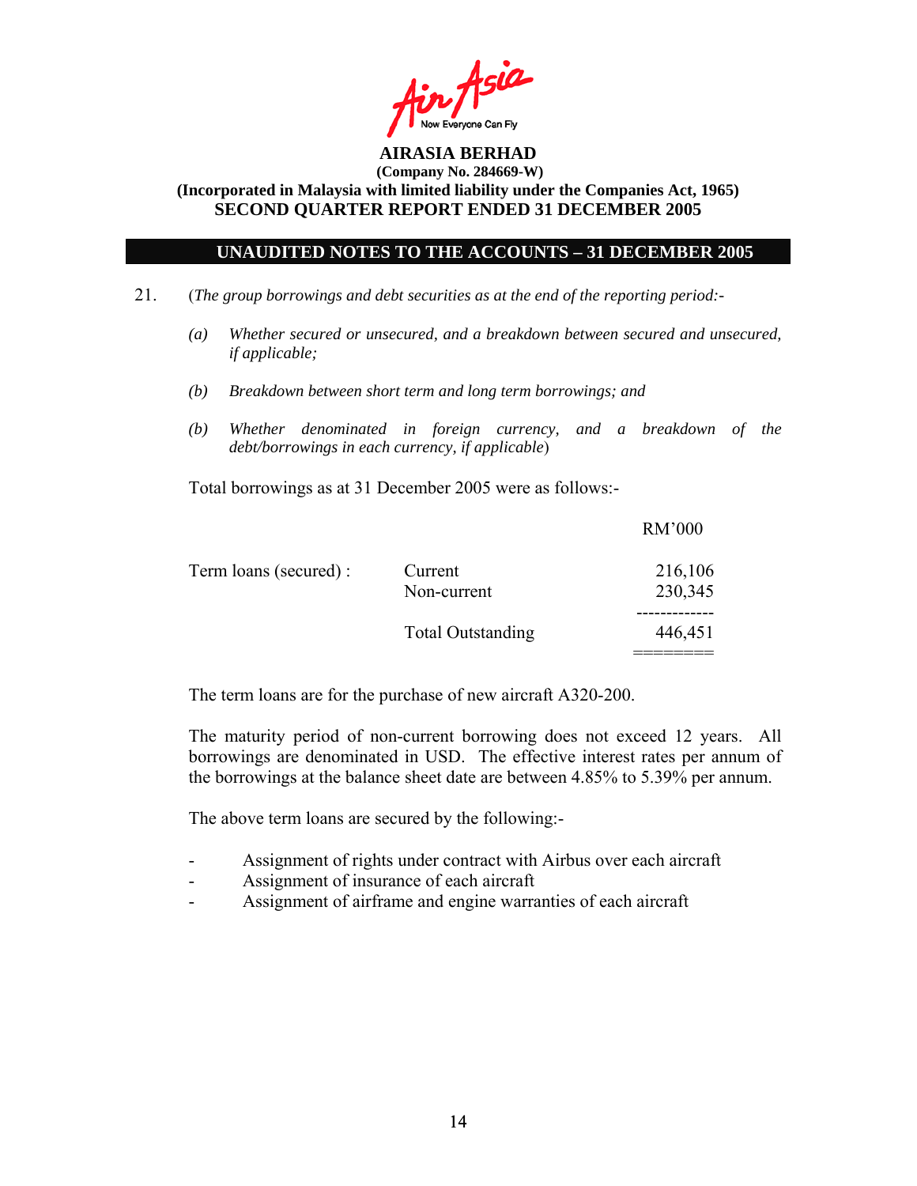

### **UNAUDITED NOTES TO THE ACCOUNTS – 31 DECEMBER 2005**

- 21. (*The group borrowings and debt securities as at the end of the reporting period:-* 
	- *(a) Whether secured or unsecured, and a breakdown between secured and unsecured, if applicable;*
	- *(b) Breakdown between short term and long term borrowings; and*
	- *(b) Whether denominated in foreign currency, and a breakdown of the debt/borrowings in each currency, if applicable*)

Total borrowings as at 31 December 2005 were as follows:-

|                       |                          | <b>RM'000</b> |
|-----------------------|--------------------------|---------------|
| Term loans (secured): | Current                  | 216,106       |
|                       | Non-current              | 230,345       |
|                       |                          |               |
|                       | <b>Total Outstanding</b> | 446,451       |
|                       |                          |               |

The term loans are for the purchase of new aircraft A320-200.

The maturity period of non-current borrowing does not exceed 12 years. All borrowings are denominated in USD. The effective interest rates per annum of the borrowings at the balance sheet date are between 4.85% to 5.39% per annum.

The above term loans are secured by the following:-

- Assignment of rights under contract with Airbus over each aircraft
- Assignment of insurance of each aircraft
- Assignment of airframe and engine warranties of each aircraft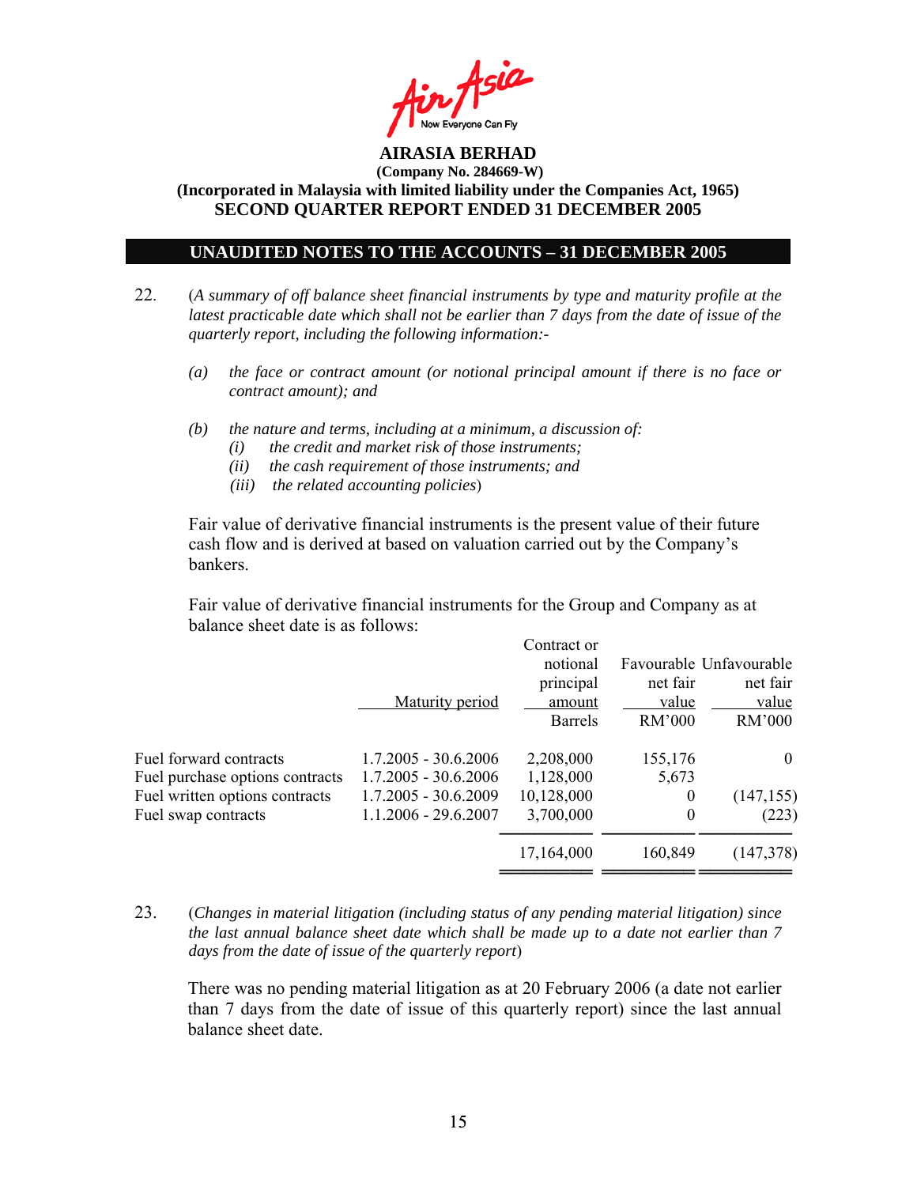

#### **UNAUDITED NOTES TO THE ACCOUNTS – 31 DECEMBER 2005**

- 22. (*A summary of off balance sheet financial instruments by type and maturity profile at the latest practicable date which shall not be earlier than 7 days from the date of issue of the quarterly report, including the following information:-* 
	- *(a) the face or contract amount (or notional principal amount if there is no face or contract amount); and*
	- *(b) the nature and terms, including at a minimum, a discussion of:* 
		- *(i) the credit and market risk of those instruments;*
		- *(ii) the cash requirement of those instruments; and*
		- *(iii) the related accounting policies*)

Fair value of derivative financial instruments is the present value of their future cash flow and is derived at based on valuation carried out by the Company's bankers.

 Fair value of derivative financial instruments for the Group and Company as at balance sheet date is as follows:

| Maturity period                                                                                                    | Contract or<br>notional<br>principal<br>amount<br><b>Barrels</b> | net fair<br>value<br><b>RM'000</b> | Favourable Unfavourable<br>net fair<br>value<br>RM'000 |
|--------------------------------------------------------------------------------------------------------------------|------------------------------------------------------------------|------------------------------------|--------------------------------------------------------|
| $1.7.2005 - 30.6.2006$                                                                                             | 2,208,000                                                        | 155,176                            | $\theta$                                               |
| $1.7.2005 - 30.6.2006$                                                                                             | 1,128,000                                                        | 5,673                              |                                                        |
| $1.7.2005 - 30.6.2009$                                                                                             | 10,128,000                                                       | $\theta$                           | (147, 155)                                             |
| $1.1.2006 - 29.6.2007$                                                                                             | 3,700,000                                                        | $\boldsymbol{0}$                   | (223)                                                  |
|                                                                                                                    | 17,164,000                                                       | 160,849                            | (147,378)                                              |
| Fuel forward contracts<br>Fuel purchase options contracts<br>Fuel written options contracts<br>Fuel swap contracts |                                                                  |                                    |                                                        |

23. (*Changes in material litigation (including status of any pending material litigation) since the last annual balance sheet date which shall be made up to a date not earlier than 7 days from the date of issue of the quarterly report*)

There was no pending material litigation as at 20 February 2006 (a date not earlier than 7 days from the date of issue of this quarterly report) since the last annual balance sheet date.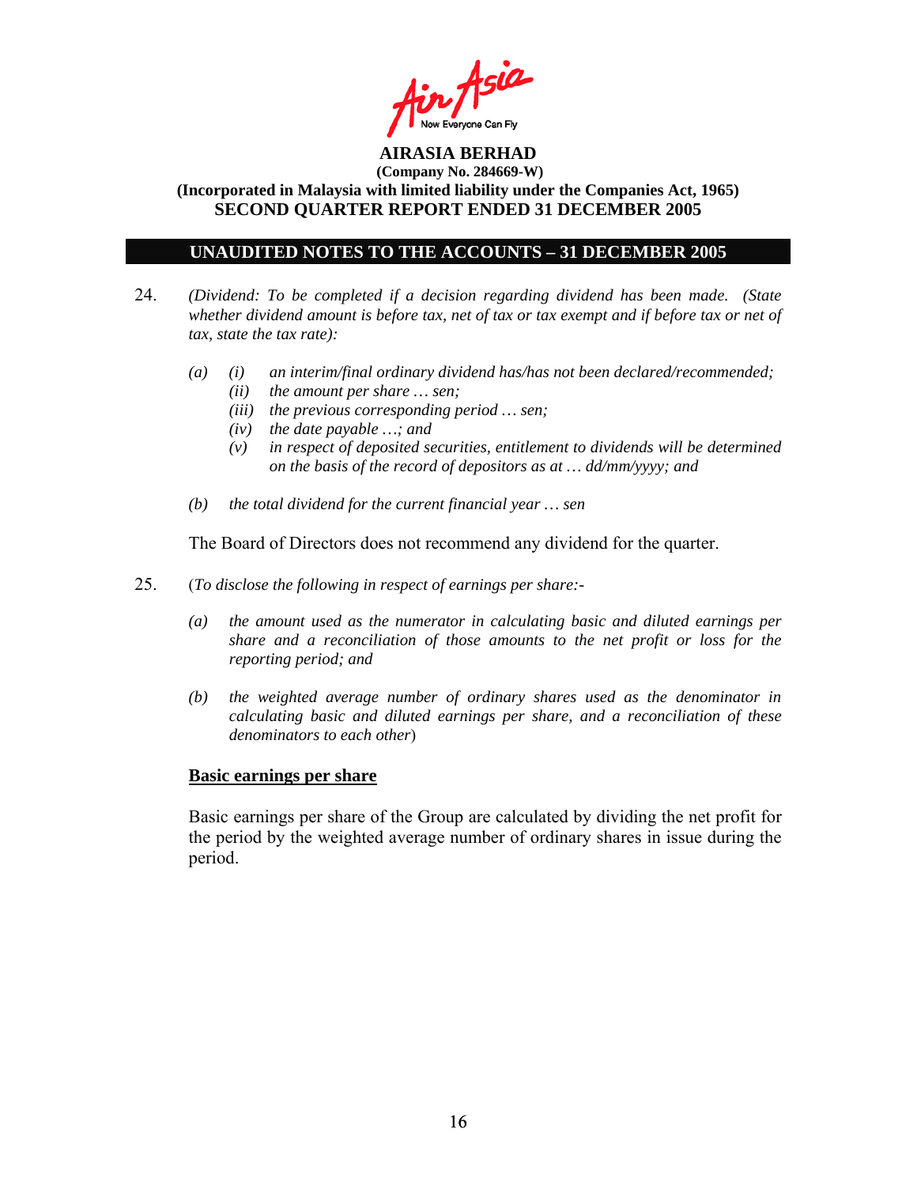

### **UNAUDITED NOTES TO THE ACCOUNTS – 31 DECEMBER 2005**

- 24. *(Dividend: To be completed if a decision regarding dividend has been made. (State whether dividend amount is before tax, net of tax or tax exempt and if before tax or net of tax, state the tax rate):*
	- *(a) (i) an interim/final ordinary dividend has/has not been declared/recommended; (ii) the amount per share … sen;* 
		- *(iii) the previous corresponding period … sen;*
		- *(iv) the date payable …; and*
		- *(v) in respect of deposited securities, entitlement to dividends will be determined on the basis of the record of depositors as at … dd/mm/yyyy; and*
	- *(b) the total dividend for the current financial year … sen*

The Board of Directors does not recommend any dividend for the quarter.

- 25. (*To disclose the following in respect of earnings per share:-* 
	- *(a) the amount used as the numerator in calculating basic and diluted earnings per share and a reconciliation of those amounts to the net profit or loss for the reporting period; and*
	- *(b) the weighted average number of ordinary shares used as the denominator in calculating basic and diluted earnings per share, and a reconciliation of these denominators to each other*)

#### **Basic earnings per share**

 Basic earnings per share of the Group are calculated by dividing the net profit for the period by the weighted average number of ordinary shares in issue during the period.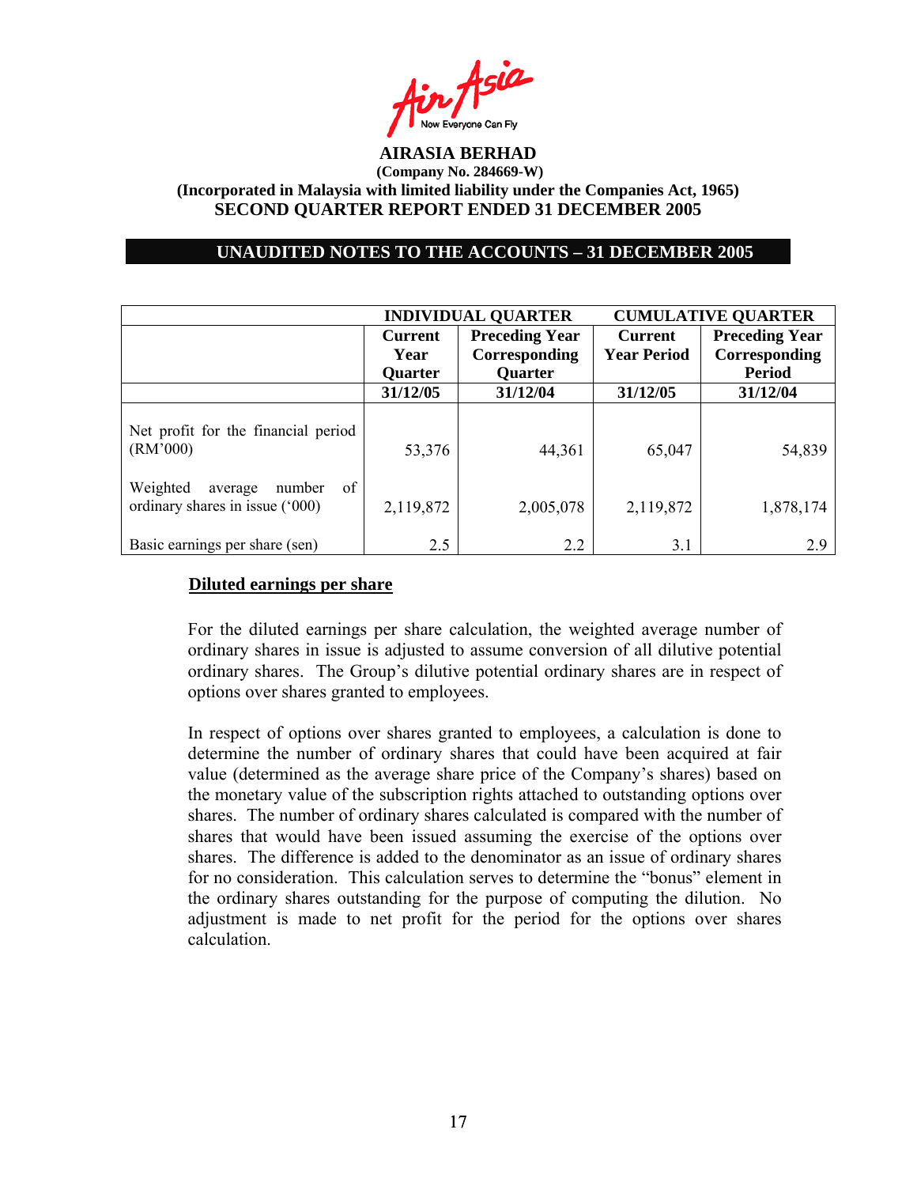

### **UNAUDITED NOTES TO THE ACCOUNTS – 31 DECEMBER 2005**

|                                                                        |                | <b>INDIVIDUAL QUARTER</b> | <b>CUMULATIVE QUARTER</b> |                       |  |
|------------------------------------------------------------------------|----------------|---------------------------|---------------------------|-----------------------|--|
|                                                                        | <b>Current</b> | <b>Preceding Year</b>     | <b>Current</b>            | <b>Preceding Year</b> |  |
|                                                                        | Year           | Corresponding             | <b>Year Period</b>        | Corresponding         |  |
|                                                                        | <b>Quarter</b> | <b>Quarter</b>            |                           | <b>Period</b>         |  |
|                                                                        | 31/12/05       | 31/12/04                  | 31/12/05                  | 31/12/04              |  |
| Net profit for the financial period<br>(RM'000)                        | 53,376         | 44,361                    | 65,047                    | 54,839                |  |
| Weighted<br>of<br>number<br>average<br>ordinary shares in issue ('000) | 2,119,872      | 2,005,078                 | 2,119,872                 | 1,878,174             |  |
| Basic earnings per share (sen)                                         | 2.5            | 2.2                       | 3.1                       | 2.9                   |  |

#### **Diluted earnings per share**

For the diluted earnings per share calculation, the weighted average number of ordinary shares in issue is adjusted to assume conversion of all dilutive potential ordinary shares. The Group's dilutive potential ordinary shares are in respect of options over shares granted to employees.

In respect of options over shares granted to employees, a calculation is done to determine the number of ordinary shares that could have been acquired at fair value (determined as the average share price of the Company's shares) based on the monetary value of the subscription rights attached to outstanding options over shares. The number of ordinary shares calculated is compared with the number of shares that would have been issued assuming the exercise of the options over shares. The difference is added to the denominator as an issue of ordinary shares for no consideration. This calculation serves to determine the "bonus" element in the ordinary shares outstanding for the purpose of computing the dilution. No adjustment is made to net profit for the period for the options over shares calculation.